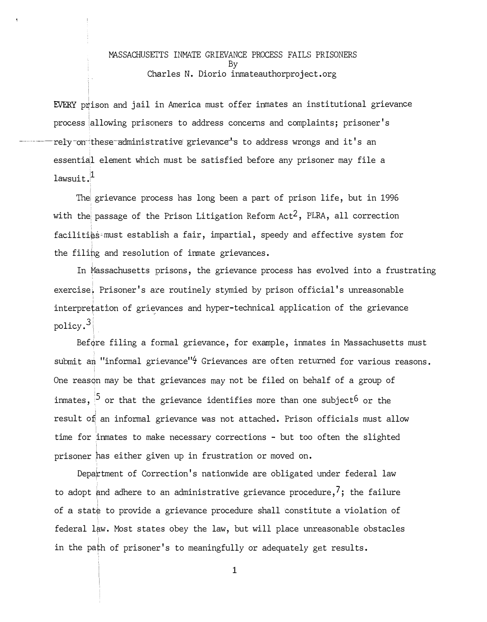## MASSACHUSETTS INMATE GRIEVANCE PROCESS FAILS PRISONERS By Charles N. Diorio inmateauthorproject.org

EVERY prison and jail in America must offer inmates an institutional grievance process allowing prisoners to address concerns and complaints; prisoner's  $\,$ rely on these administrative grievance's to address wrongs and it's an essential element which must be satisfied before any prisoner may file a  $lawsuit.$ <sup>1</sup>

The grievance process has long been a part of prison life, but in 1996  $\,$ with the passage of the Prison Litigation Reform Act<sup>2</sup>, PLRA, all correction facilities must establish a fair, impartial, speedy and effective system for the filing and resolution of inmate grievances.

In Massachusetts prisons, the grievance process has evolved into a frustrating exercise. Prisoner's are routinely stymied by prison official's unreasonable interpretation of grievances and hyper-technical application of the grievance policy. $^3\vert$ 

Before filing a formal grievance, for example, inmates in Massachusetts must submit an "informal grievance"<sup>4</sup> Grievances are often returned for various reasons. One reason may be that grievances may not be filed on behalf of a group of inmates,  $^{\left[ 5\right]}$  or that the grievance identifies more than one subject $^6$  or the result of an informal grievance was not attached. Prison officials must allow time for inmates to make necessary corrections - but too often the slighted prisoner has either given up in frustration or moved on.

Department of Correction's nationwide are obligated under federal law to adopt and adhere to an administrative grievance procedure,  $\frac{7}{1}$ ; the failure of a stat¢ to provide a grievance procedure shall constitute a violation of federal law. Most states obey the law, but will place unreasonable obstacles in the path of prisoner's to meaningfully or adequately get results.

**1**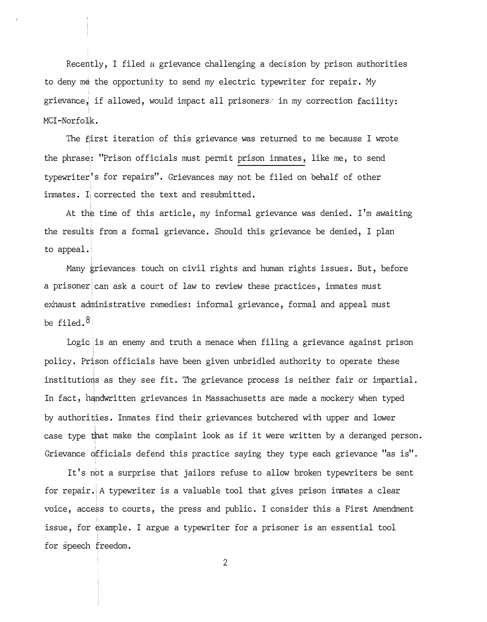Recently, I filed a grievance challenging a decision by prison authorities to deny m� the opportunity to send my electric typewriter for repair. My grievance, if allowed, would impact all prisoners. in my correction facility: MCI-Norfolk.

The first iteration of this grievance was returned to me because I wrote the phrase,: "Prison officials must permit prison inmates, like me, to send typewriter's for repairs". Grievances may not be filed on behalf of other inmates. Ii corrected the text and resubmitted.

At the time of this article, my informal grievance was denied. I'm awaiting the result's from a formal grievance. Should this grievance be denied, I plan to appeal.

Many grievances touch on civil rights and human rights issues. But, before a prisoner $|\mathsf{can}\>$  ask a court of law to review these practices, inmates must exhaust administrative remedies: informal grievance, formal and appeal must be filed.<sup>8</sup>

Logic is an enemy and truth a menace when filing a grievance against prison policy. Prison officials have been given unbridled authority to operate these institutions as they see fit. The grievance process is neither fair or impartial. In fact, handwritten grievances in Massachusetts are made a mockery when typed by authorities. Inmates find their grievances butchered with upper and lower case type t�at make the complaint look as if it were written by a deranged person. Grievance officials defend this practice saying they type each grievance "as is".

It's not a surprise that jailors refuse to allow broken typewriters be sent for repair. A typewriter is a valuable tool that gives prison inmates a clear voice, access to courts, the press and public. I consider this a First Amendment issue, for example. I argue a typewriter for a prisoner is an essential tool for speech freedom.

2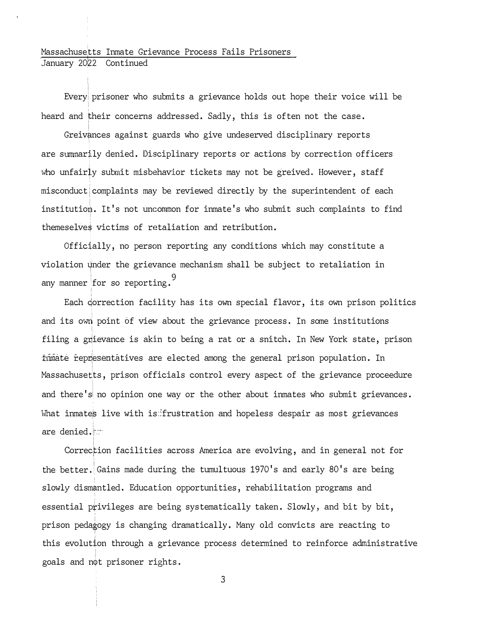## Massachusetts Inmate Grievance Process Fails Prisoners January 2022 Continued

I

Everyi prisoner who submits a grievance holds out hope their voice will be heard and their concerns addressed. Sadly, this is often not the case.

Greivances against guards who give undeserved disciplinary reports are summarily denied. Disciplinary reports or actions by correction officers who unfairly submit misbehavior tickets may not be greived. However, staff misconduct $\mid$  complaints may be reviewed directly by the superintendent of each institution. It's not uncommon for inmate's who submit such complaints to find themeselve� victims of retaliation and retribution.

Offic�ally, no person reporting any conditions which may constitute a violation � nder the grievance mechanism shall be subject to retaliation in ' 9 any manner lfor so reporting.

Each qorrection facility has its own special flavor, its own prison politics and its own point of view about the grievance process. In some institutions filing a grievance is akin to being a rat or a snitch. In New York state, prison timate representatives are elected among the general prison population. In Massachusetts, prison officials control every aspect of the grievance proceedure and there's no opinion one way or the other about inmates who submit grievances. What inmates live with is: frustration and hopeless despair as most grievances are denied.

Correc�ion facilities across America are evolving, and in general not for the better. Gains made during the tumultuous 1970's and early  $80'$ s are being slowly dismantled. Education opportunities, rehabilitation programs and essential privileges are being systematically taken. Slowly, and bit by bit, prison pedagogy is changing dramatically. Many old convicts are reacting to this evolution through a grievance process determined to reinforce administrative goals and n�t prisoner rights.

3